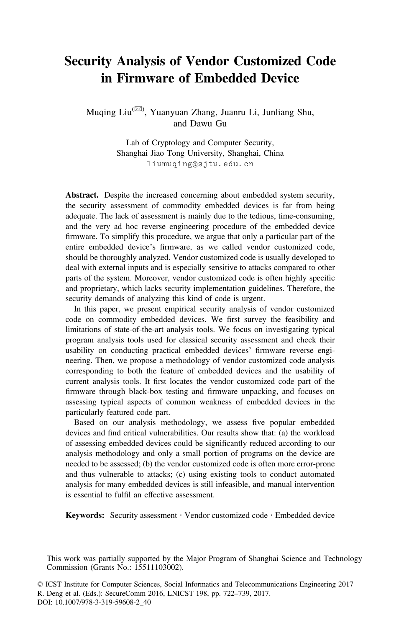# Security Analysis of Vendor Customized Code in Firmware of Embedded Device

Muqing Liu<sup>(⊠)</sup>, Yuanyuan Zhang, Juanru Li, Junliang Shu, and Dawu Gu

> Lab of Cryptology and Computer Security, Shanghai Jiao Tong University, Shanghai, China liumuqing@sjtu.edu.cn

Abstract. Despite the increased concerning about embedded system security, the security assessment of commodity embedded devices is far from being adequate. The lack of assessment is mainly due to the tedious, time-consuming, and the very ad hoc reverse engineering procedure of the embedded device firmware. To simplify this procedure, we argue that only a particular part of the entire embedded device's firmware, as we called vendor customized code, should be thoroughly analyzed. Vendor customized code is usually developed to deal with external inputs and is especially sensitive to attacks compared to other parts of the system. Moreover, vendor customized code is often highly specific and proprietary, which lacks security implementation guidelines. Therefore, the security demands of analyzing this kind of code is urgent.

In this paper, we present empirical security analysis of vendor customized code on commodity embedded devices. We first survey the feasibility and limitations of state-of-the-art analysis tools. We focus on investigating typical program analysis tools used for classical security assessment and check their usability on conducting practical embedded devices' firmware reverse engineering. Then, we propose a methodology of vendor customized code analysis corresponding to both the feature of embedded devices and the usability of current analysis tools. It first locates the vendor customized code part of the firmware through black-box testing and firmware unpacking, and focuses on assessing typical aspects of common weakness of embedded devices in the particularly featured code part.

Based on our analysis methodology, we assess five popular embedded devices and find critical vulnerabilities. Our results show that: (a) the workload of assessing embedded devices could be significantly reduced according to our analysis methodology and only a small portion of programs on the device are needed to be assessed; (b) the vendor customized code is often more error-prone and thus vulnerable to attacks; (c) using existing tools to conduct automated analysis for many embedded devices is still infeasible, and manual intervention is essential to fulfil an effective assessment.

Keywords: Security assessment · Vendor customized code · Embedded device

This work was partially supported by the Major Program of Shanghai Science and Technology Commission (Grants No.: 15511103002).

<sup>©</sup> ICST Institute for Computer Sciences, Social Informatics and Telecommunications Engineering 2017 R. Deng et al. (Eds.): SecureComm 2016, LNICST 198, pp. 722–739, 2017. DOI: 10.1007/978-3-319-59608-2\_40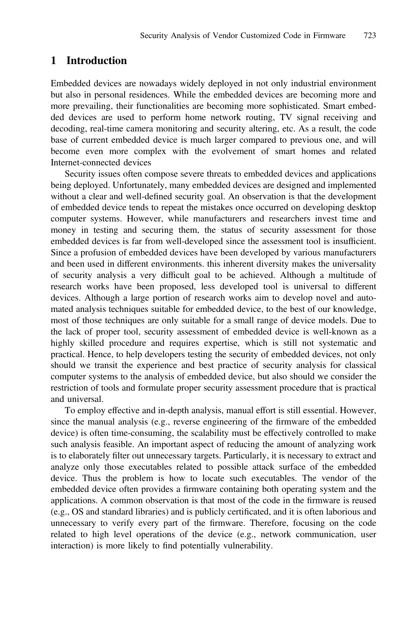## 1 Introduction

Embedded devices are nowadays widely deployed in not only industrial environment but also in personal residences. While the embedded devices are becoming more and more prevailing, their functionalities are becoming more sophisticated. Smart embedded devices are used to perform home network routing, TV signal receiving and decoding, real-time camera monitoring and security altering, etc. As a result, the code base of current embedded device is much larger compared to previous one, and will become even more complex with the evolvement of smart homes and related Internet-connected devices

Security issues often compose severe threats to embedded devices and applications being deployed. Unfortunately, many embedded devices are designed and implemented without a clear and well-defined security goal. An observation is that the development of embedded device tends to repeat the mistakes once occurred on developing desktop computer systems. However, while manufacturers and researchers invest time and money in testing and securing them, the status of security assessment for those embedded devices is far from well-developed since the assessment tool is insufficient. Since a profusion of embedded devices have been developed by various manufacturers and been used in different environments. this inherent diversity makes the universality of security analysis a very difficult goal to be achieved. Although a multitude of research works have been proposed, less developed tool is universal to different devices. Although a large portion of research works aim to develop novel and automated analysis techniques suitable for embedded device, to the best of our knowledge, most of those techniques are only suitable for a small range of device models. Due to the lack of proper tool, security assessment of embedded device is well-known as a highly skilled procedure and requires expertise, which is still not systematic and practical. Hence, to help developers testing the security of embedded devices, not only should we transit the experience and best practice of security analysis for classical computer systems to the analysis of embedded device, but also should we consider the restriction of tools and formulate proper security assessment procedure that is practical and universal.

To employ effective and in-depth analysis, manual effort is still essential. However, since the manual analysis (e.g., reverse engineering of the firmware of the embedded device) is often time-consuming, the scalability must be effectively controlled to make such analysis feasible. An important aspect of reducing the amount of analyzing work is to elaborately filter out unnecessary targets. Particularly, it is necessary to extract and analyze only those executables related to possible attack surface of the embedded device. Thus the problem is how to locate such executables. The vendor of the embedded device often provides a firmware containing both operating system and the applications. A common observation is that most of the code in the firmware is reused (e.g., OS and standard libraries) and is publicly certificated, and it is often laborious and unnecessary to verify every part of the firmware. Therefore, focusing on the code related to high level operations of the device (e.g., network communication, user interaction) is more likely to find potentially vulnerability.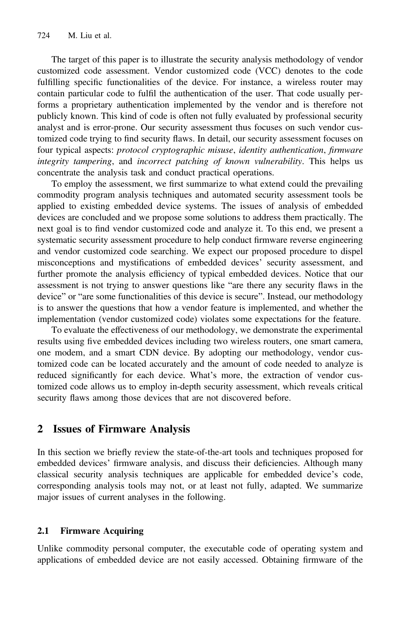The target of this paper is to illustrate the security analysis methodology of vendor customized code assessment. Vendor customized code (VCC) denotes to the code fulfilling specific functionalities of the device. For instance, a wireless router may contain particular code to fulfil the authentication of the user. That code usually performs a proprietary authentication implemented by the vendor and is therefore not publicly known. This kind of code is often not fully evaluated by professional security analyst and is error-prone. Our security assessment thus focuses on such vendor customized code trying to find security flaws. In detail, our security assessment focuses on four typical aspects: protocol cryptographic misuse, identity authentication, firmware integrity tampering, and incorrect patching of known vulnerability. This helps us concentrate the analysis task and conduct practical operations.

To employ the assessment, we first summarize to what extend could the prevailing commodity program analysis techniques and automated security assessment tools be applied to existing embedded device systems. The issues of analysis of embedded devices are concluded and we propose some solutions to address them practically. The next goal is to find vendor customized code and analyze it. To this end, we present a systematic security assessment procedure to help conduct firmware reverse engineering and vendor customized code searching. We expect our proposed procedure to dispel misconceptions and mystifications of embedded devices' security assessment, and further promote the analysis efficiency of typical embedded devices. Notice that our assessment is not trying to answer questions like "are there any security flaws in the device" or "are some functionalities of this device is secure". Instead, our methodology is to answer the questions that how a vendor feature is implemented, and whether the implementation (vendor customized code) violates some expectations for the feature.

To evaluate the effectiveness of our methodology, we demonstrate the experimental results using five embedded devices including two wireless routers, one smart camera, one modem, and a smart CDN device. By adopting our methodology, vendor customized code can be located accurately and the amount of code needed to analyze is reduced significantly for each device. What's more, the extraction of vendor customized code allows us to employ in-depth security assessment, which reveals critical security flaws among those devices that are not discovered before.

## 2 Issues of Firmware Analysis

In this section we briefly review the state-of-the-art tools and techniques proposed for embedded devices' firmware analysis, and discuss their deficiencies. Although many classical security analysis techniques are applicable for embedded device's code, corresponding analysis tools may not, or at least not fully, adapted. We summarize major issues of current analyses in the following.

### 2.1 Firmware Acquiring

Unlike commodity personal computer, the executable code of operating system and applications of embedded device are not easily accessed. Obtaining firmware of the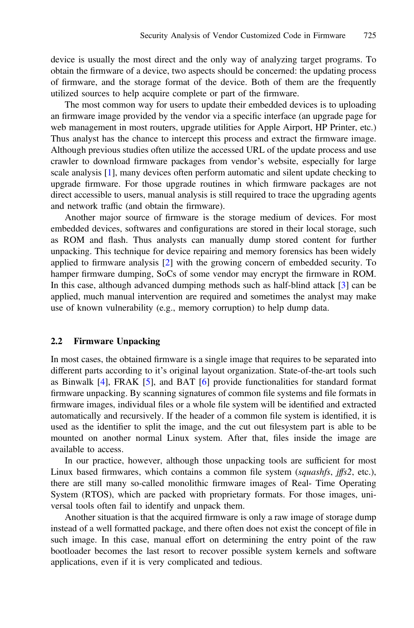device is usually the most direct and the only way of analyzing target programs. To obtain the firmware of a device, two aspects should be concerned: the updating process of firmware, and the storage format of the device. Both of them are the frequently utilized sources to help acquire complete or part of the firmware.

The most common way for users to update their embedded devices is to uploading an firmware image provided by the vendor via a specific interface (an upgrade page for web management in most routers, upgrade utilities for Apple Airport, HP Printer, etc.) Thus analyst has the chance to intercept this process and extract the firmware image. Although previous studies often utilize the accessed URL of the update process and use crawler to download firmware packages from vendor's website, especially for large scale analysis [[1\]](#page-16-0), many devices often perform automatic and silent update checking to upgrade firmware. For those upgrade routines in which firmware packages are not direct accessible to users, manual analysis is still required to trace the upgrading agents and network traffic (and obtain the firmware).

Another major source of firmware is the storage medium of devices. For most embedded devices, softwares and configurations are stored in their local storage, such as ROM and flash. Thus analysts can manually dump stored content for further unpacking. This technique for device repairing and memory forensics has been widely applied to firmware analysis [\[2](#page-16-0)] with the growing concern of embedded security. To hamper firmware dumping, SoCs of some vendor may encrypt the firmware in ROM. In this case, although advanced dumping methods such as half-blind attack [\[3](#page-16-0)] can be applied, much manual intervention are required and sometimes the analyst may make use of known vulnerability (e.g., memory corruption) to help dump data.

#### 2.2 Firmware Unpacking

In most cases, the obtained firmware is a single image that requires to be separated into different parts according to it's original layout organization. State-of-the-art tools such as Binwalk [[4\]](#page-16-0), FRAK [[5\]](#page-16-0), and BAT [\[6](#page-16-0)] provide functionalities for standard format firmware unpacking. By scanning signatures of common file systems and file formats in firmware images, individual files or a whole file system will be identified and extracted automatically and recursively. If the header of a common file system is identified, it is used as the identifier to split the image, and the cut out filesystem part is able to be mounted on another normal Linux system. After that, files inside the image are available to access.

In our practice, however, although those unpacking tools are sufficient for most Linux based firmwares, which contains a common file system (squashfs, jffs2, etc.), there are still many so-called monolithic firmware images of Real- Time Operating System (RTOS), which are packed with proprietary formats. For those images, universal tools often fail to identify and unpack them.

Another situation is that the acquired firmware is only a raw image of storage dump instead of a well formatted package, and there often does not exist the concept of file in such image. In this case, manual effort on determining the entry point of the raw bootloader becomes the last resort to recover possible system kernels and software applications, even if it is very complicated and tedious.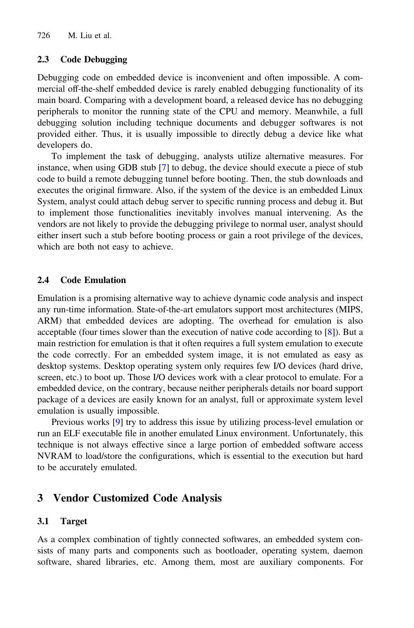#### 2.3 Code Debugging

Debugging code on embedded device is inconvenient and often impossible. A commercial off-the-shelf embedded device is rarely enabled debugging functionality of its main board. Comparing with a development board, a released device has no debugging peripherals to monitor the running state of the CPU and memory. Meanwhile, a full debugging solution including technique documents and debugger softwares is not provided either. Thus, it is usually impossible to directly debug a device like what developers do.

To implement the task of debugging, analysts utilize alternative measures. For instance, when using GDB stub [[7\]](#page-16-0) to debug, the device should execute a piece of stub code to build a remote debugging tunnel before booting. Then, the stub downloads and executes the original firmware. Also, if the system of the device is an embedded Linux System, analyst could attach debug server to specific running process and debug it. But to implement those functionalities inevitably involves manual intervening. As the vendors are not likely to provide the debugging privilege to normal user, analyst should either insert such a stub before booting process or gain a root privilege of the devices, which are both not easy to achieve.

### 2.4 Code Emulation

Emulation is a promising alternative way to achieve dynamic code analysis and inspect any run-time information. State-of-the-art emulators support most architectures (MIPS, ARM) that embedded devices are adopting. The overhead for emulation is also acceptable (four times slower than the execution of native code according to [[8\]](#page-16-0)). But a main restriction for emulation is that it often requires a full system emulation to execute the code correctly. For an embedded system image, it is not emulated as easy as desktop systems. Desktop operating system only requires few I/O devices (hard drive, screen, etc.) to boot up. Those I/O devices work with a clear protocol to emulate. For a embedded device, on the contrary, because neither peripherals details nor board support package of a devices are easily known for an analyst, full or approximate system level emulation is usually impossible.

Previous works [[9\]](#page-16-0) try to address this issue by utilizing process-level emulation or run an ELF executable file in another emulated Linux environment. Unfortunately, this technique is not always effective since a large portion of embedded software access NVRAM to load/store the configurations, which is essential to the execution but hard to be accurately emulated.

## 3 Vendor Customized Code Analysis

### 3.1 Target

As a complex combination of tightly connected softwares, an embedded system consists of many parts and components such as bootloader, operating system, daemon software, shared libraries, etc. Among them, most are auxiliary components. For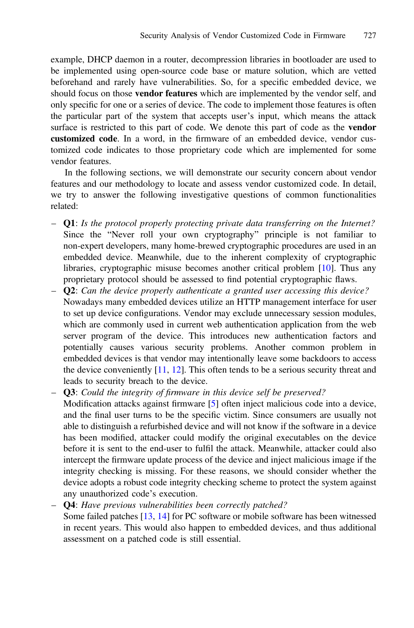example, DHCP daemon in a router, decompression libraries in bootloader are used to be implemented using open-source code base or mature solution, which are vetted beforehand and rarely have vulnerabilities. So, for a specific embedded device, we should focus on those vendor features which are implemented by the vendor self, and only specific for one or a series of device. The code to implement those features is often the particular part of the system that accepts user's input, which means the attack surface is restricted to this part of code. We denote this part of code as the vendor customized code. In a word, in the firmware of an embedded device, vendor customized code indicates to those proprietary code which are implemented for some vendor features.

In the following sections, we will demonstrate our security concern about vendor features and our methodology to locate and assess vendor customized code. In detail, we try to answer the following investigative questions of common functionalities related:

- $-$  Q1: Is the protocol properly protecting private data transferring on the Internet? Since the "Never roll your own cryptography" principle is not familiar to non-expert developers, many home-brewed cryptographic procedures are used in an embedded device. Meanwhile, due to the inherent complexity of cryptographic libraries, cryptographic misuse becomes another critical problem [\[10](#page-17-0)]. Thus any proprietary protocol should be assessed to find potential cryptographic flaws.
- $-$  **Q2**: Can the device properly authenticate a granted user accessing this device? Nowadays many embedded devices utilize an HTTP management interface for user to set up device configurations. Vendor may exclude unnecessary session modules, which are commonly used in current web authentication application from the web server program of the device. This introduces new authentication factors and potentially causes various security problems. Another common problem in embedded devices is that vendor may intentionally leave some backdoors to access the device conveniently  $[11, 12]$  $[11, 12]$  $[11, 12]$  $[11, 12]$ . This often tends to be a serious security threat and leads to security breach to the device.
- $-$  Q3: Could the integrity of firmware in this device self be preserved?

Modification attacks against firmware [\[5](#page-16-0)] often inject malicious code into a device, and the final user turns to be the specific victim. Since consumers are usually not able to distinguish a refurbished device and will not know if the software in a device has been modified, attacker could modify the original executables on the device before it is sent to the end-user to fulfil the attack. Meanwhile, attacker could also intercept the firmware update process of the device and inject malicious image if the integrity checking is missing. For these reasons, we should consider whether the device adopts a robust code integrity checking scheme to protect the system against any unauthorized code's execution.

– Q4: Have previous vulnerabilities been correctly patched? Some failed patches [\[13](#page-17-0), [14](#page-17-0)] for PC software or mobile software has been witnessed in recent years. This would also happen to embedded devices, and thus additional assessment on a patched code is still essential.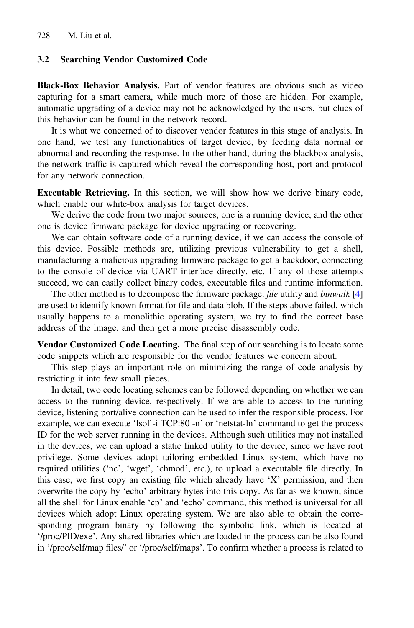#### <span id="page-6-0"></span>3.2 Searching Vendor Customized Code

Black-Box Behavior Analysis. Part of vendor features are obvious such as video capturing for a smart camera, while much more of those are hidden. For example, automatic upgrading of a device may not be acknowledged by the users, but clues of this behavior can be found in the network record.

It is what we concerned of to discover vendor features in this stage of analysis. In one hand, we test any functionalities of target device, by feeding data normal or abnormal and recording the response. In the other hand, during the blackbox analysis, the network traffic is captured which reveal the corresponding host, port and protocol for any network connection.

Executable Retrieving. In this section, we will show how we derive binary code, which enable our white-box analysis for target devices.

We derive the code from two major sources, one is a running device, and the other one is device firmware package for device upgrading or recovering.

We can obtain software code of a running device, if we can access the console of this device. Possible methods are, utilizing previous vulnerability to get a shell, manufacturing a malicious upgrading firmware package to get a backdoor, connecting to the console of device via UART interface directly, etc. If any of those attempts succeed, we can easily collect binary codes, executable files and runtime information.

The other method is to decompose the firmware package. *file* utility and *binwalk* [\[4](#page-16-0)] are used to identify known format for file and data blob. If the steps above failed, which usually happens to a monolithic operating system, we try to find the correct base address of the image, and then get a more precise disassembly code.

Vendor Customized Code Locating. The final step of our searching is to locate some code snippets which are responsible for the vendor features we concern about.

This step plays an important role on minimizing the range of code analysis by restricting it into few small pieces.

In detail, two code locating schemes can be followed depending on whether we can access to the running device, respectively. If we are able to access to the running device, listening port/alive connection can be used to infer the responsible process. For example, we can execute 'lsof -i TCP:80 -n' or 'netstat-ln' command to get the process ID for the web server running in the devices. Although such utilities may not installed in the devices, we can upload a static linked utility to the device, since we have root privilege. Some devices adopt tailoring embedded Linux system, which have no required utilities ('nc', 'wget', 'chmod', etc.), to upload a executable file directly. In this case, we first copy an existing file which already have 'X' permission, and then overwrite the copy by 'echo' arbitrary bytes into this copy. As far as we known, since all the shell for Linux enable 'cp' and 'echo' command, this method is universal for all devices which adopt Linux operating system. We are also able to obtain the corresponding program binary by following the symbolic link, which is located at '/proc/PID/exe'. Any shared libraries which are loaded in the process can be also found in '/proc/self/map files/' or '/proc/self/maps'. To confirm whether a process is related to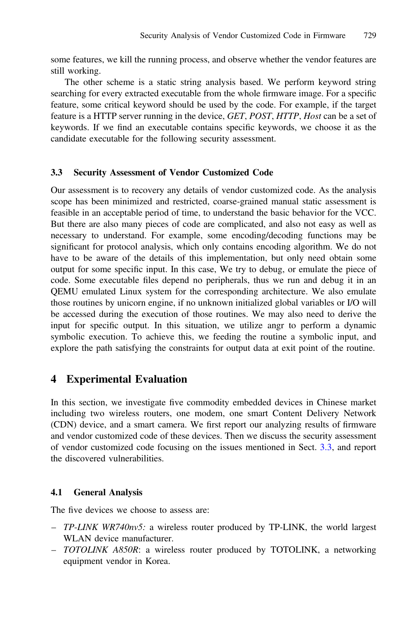some features, we kill the running process, and observe whether the vendor features are still working.

The other scheme is a static string analysis based. We perform keyword string searching for every extracted executable from the whole firmware image. For a specific feature, some critical keyword should be used by the code. For example, if the target feature is a HTTP server running in the device, GET, POST, HTTP, Host can be a set of keywords. If we find an executable contains specific keywords, we choose it as the candidate executable for the following security assessment.

#### 3.3 Security Assessment of Vendor Customized Code

Our assessment is to recovery any details of vendor customized code. As the analysis scope has been minimized and restricted, coarse-grained manual static assessment is feasible in an acceptable period of time, to understand the basic behavior for the VCC. But there are also many pieces of code are complicated, and also not easy as well as necessary to understand. For example, some encoding/decoding functions may be significant for protocol analysis, which only contains encoding algorithm. We do not have to be aware of the details of this implementation, but only need obtain some output for some specific input. In this case, We try to debug, or emulate the piece of code. Some executable files depend no peripherals, thus we run and debug it in an QEMU emulated Linux system for the corresponding architecture. We also emulate those routines by unicorn engine, if no unknown initialized global variables or I/O will be accessed during the execution of those routines. We may also need to derive the input for specific output. In this situation, we utilize angr to perform a dynamic symbolic execution. To achieve this, we feeding the routine a symbolic input, and explore the path satisfying the constraints for output data at exit point of the routine.

## 4 Experimental Evaluation

In this section, we investigate five commodity embedded devices in Chinese market including two wireless routers, one modem, one smart Content Delivery Network (CDN) device, and a smart camera. We first report our analyzing results of firmware and vendor customized code of these devices. Then we discuss the security assessment of vendor customized code focusing on the issues mentioned in Sect. 3.3, and report the discovered vulnerabilities.

#### 4.1 General Analysis

The five devices we choose to assess are:

- $-$  TP-LINK WR740nv5: a wireless router produced by TP-LINK, the world largest WLAN device manufacturer.
- TOTOLINK A850R: a wireless router produced by TOTOLINK, a networking equipment vendor in Korea.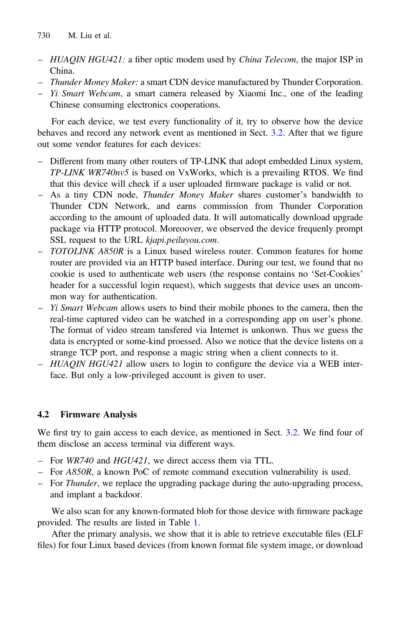- HUAQIN HGU421: a fiber optic modem used by China Telecom, the major ISP in China.
- Thunder Money Maker: a smart CDN device manufactured by Thunder Corporation.
- Yi Smart Webcam, a smart camera released by Xiaomi Inc., one of the leading Chinese consuming electronics cooperations.

For each device, we test every functionality of it, try to observe how the device behaves and record any network event as mentioned in Sect. [3.2](#page-6-0). After that we figure out some vendor features for each devices:

- Different from many other routers of TP-LINK that adopt embedded Linux system, TP-LINK WR740nv5 is based on VxWorks, which is a prevailing RTOS. We find that this device will check if a user uploaded firmware package is valid or not.
- As a tiny CDN node, Thunder Money Maker shares customer's bandwidth to Thunder CDN Network, and earns commission from Thunder Corporation according to the amount of uploaded data. It will automatically download upgrade package via HTTP protocol. Moreoover, we observed the device frequenly prompt SSL request to the URL kjapi.peiluyou.com.
- TOTOLINK A850R is a Linux based wireless router. Common features for home router are provided via an HTTP based interface. During our test, we found that no cookie is used to authenticate web users (the response contains no 'Set-Cookies' header for a successful login request), which suggests that device uses an uncommon way for authentication.
- $-$  *Yi Smart Webcam* allows users to bind their mobile phones to the camera, then the real-time captured video can be watched in a corresponding app on user's phone. The format of video stream tansfered via Internet is unkonwn. Thus we guess the data is encrypted or some-kind proessed. Also we notice that the device listens on a strange TCP port, and response a magic string when a client connects to it.
- HUAQIN HGU421 allow users to login to configure the device via a WEB interface. But only a low-privileged account is given to user.

### 4.2 Firmware Analysis

We first try to gain access to each device, as mentioned in Sect. [3.2](#page-6-0). We find four of them disclose an access terminal via different ways.

- For WR740 and HGU421, we direct access them via TTL.
- For A850R, a known PoC of remote command execution vulnerability is used.
- For Thunder, we replace the upgrading package during the auto-upgrading process, and implant a backdoor.

We also scan for any known-formated blob for those device with firmware package provided. The results are listed in Table [1](#page-9-0).

After the primary analysis, we show that it is able to retrieve executable files (ELF files) for four Linux based devices (from known format file system image, or download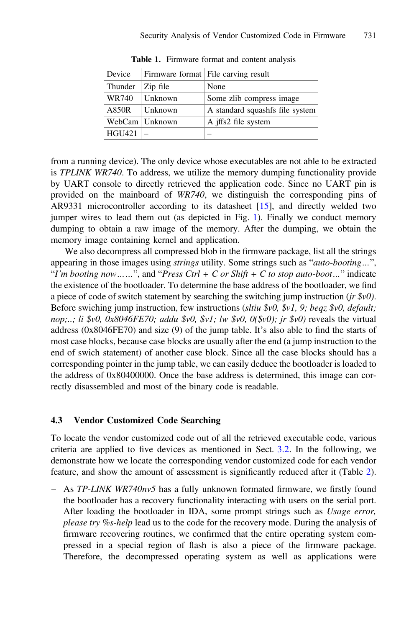<span id="page-9-0"></span>

| Device        |                  | Firmware format File carving result |  |
|---------------|------------------|-------------------------------------|--|
| Thunder       | Zip file         | None                                |  |
| WR740         | Unknown          | Some zlib compress image            |  |
| A850R         | Unknown          | A standard squashfs file system     |  |
|               | WebCam   Unknown | A iffs2 file system                 |  |
| <b>HGU421</b> |                  |                                     |  |

Table 1. Firmware format and content analysis

from a running device). The only device whose executables are not able to be extracted is TPLINK WR740. To address, we utilize the memory dumping functionality provide by UART console to directly retrieved the application code. Since no UART pin is provided on the mainboard of WR740, we distinguish the corresponding pins of AR9331 microcontroller according to its datasheet [[15\]](#page-17-0), and directly welded two jumper wires to lead them out (as depicted in Fig. [1\)](#page-10-0). Finally we conduct memory dumping to obtain a raw image of the memory. After the dumping, we obtain the memory image containing kernel and application.

We also decompress all compressed blob in the firmware package, list all the strings appearing in those images using strings utility. Some strings such as "auto-booting…", "I'm booting now......", and "Press Ctrl + C or Shift + C to stop auto-boot..." indicate the existence of the bootloader. To determine the base address of the bootloader, we find a piece of code of switch statement by searching the switching jump instruction (*jr \\$v0*). Before swiching jump instruction, few instructions (sltiu  $\gamma v$ ,  $\gamma v$ ,  $\gamma v$ ,  $\gamma v$ ,  $\gamma v$ ,  $\gamma v$ ,  $\gamma v$ ,  $\gamma v$ ,  $\gamma v$ ,  $\gamma v$ ,  $\gamma v$ ,  $\gamma v$ ,  $\gamma v$ ,  $\gamma v$ ,  $\gamma v$ ,  $\gamma v$ ,  $\gamma v$ ,  $\gamma v$ ,  $\gamma v$ ,  $\gamma v$ ,  $\gamma v$ ,  $\gamma v$ ,  $\gamma v$ ,  $\$ nop;..; li  $\delta v0$ ,  $0x8046FE70$ ; addu  $\delta v0$ ,  $\delta v1$ ; lw  $\delta v0$ ,  $0(\delta v0)$ ; ir  $\delta v0$ ) reveals the virtual address (0x8046FE70) and size (9) of the jump table. It's also able to find the starts of most case blocks, because case blocks are usually after the end (a jump instruction to the end of swich statement) of another case block. Since all the case blocks should has a corresponding pointer in the jump table, we can easily deduce the bootloader is loaded to the address of 0x80400000. Once the base address is determined, this image can cor-

4.3 Vendor Customized Code Searching

rectly disassembled and most of the binary code is readable.

To locate the vendor customized code out of all the retrieved executable code, various criteria are applied to five devices as mentioned in Sect. [3.2.](#page-6-0) In the following, we demonstrate how we locate the corresponding vendor customized code for each vendor feature, and show the amount of assessment is significantly reduced after it (Table [2\)](#page-10-0).

 $-$  As TP-LINK WR740nv5 has a fully unknown formated firmware, we firstly found the bootloader has a recovery functionality interacting with users on the serial port. After loading the bootloader in IDA, some prompt strings such as *Usage error*, please try %s-help lead us to the code for the recovery mode. During the analysis of firmware recovering routines, we confirmed that the entire operating system compressed in a special region of flash is also a piece of the firmware package. Therefore, the decompressed operating system as well as applications were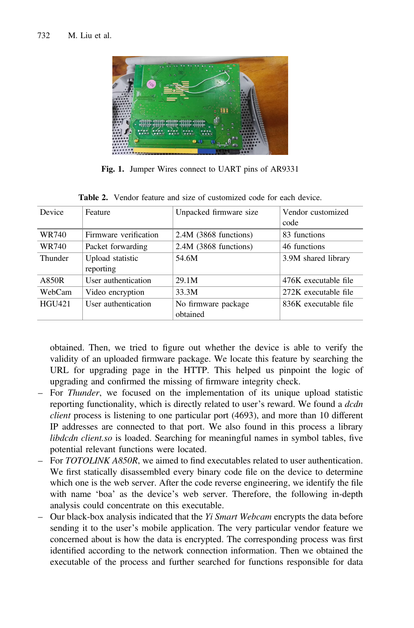<span id="page-10-0"></span>

Fig. 1. Jumper Wires connect to UART pins of AR9331

| Device        | Feature                       | Unpacked firmware size          | Vendor customized<br>code |
|---------------|-------------------------------|---------------------------------|---------------------------|
| WR740         | Firmware verification         | $2.4M$ (3868 functions)         | 83 functions              |
| WR740         | Packet forwarding             | $2.4M$ (3868 functions)         | 46 functions              |
| Thunder       | Upload statistic<br>reporting | 54.6M                           | 3.9M shared library       |
| A850R         | User authentication           | 29.1M                           | 476K executable file      |
| WebCam        | Video encryption              | 33.3M                           | 272K executable file      |
| <b>HGU421</b> | User authentication           | No firmware package<br>obtained | 836K executable file      |

Table 2. Vendor feature and size of customized code for each device.

obtained. Then, we tried to figure out whether the device is able to verify the validity of an uploaded firmware package. We locate this feature by searching the URL for upgrading page in the HTTP. This helped us pinpoint the logic of upgrading and confirmed the missing of firmware integrity check.

- For Thunder, we focused on the implementation of its unique upload statistic reporting functionality, which is directly related to user's reward. We found a dcdn client process is listening to one particular port (4693), and more than 10 different IP addresses are connected to that port. We also found in this process a library libdcdn client.so is loaded. Searching for meaningful names in symbol tables, five potential relevant functions were located.
- For TOTOLINK A850R, we aimed to find executables related to user authentication. We first statically disassembled every binary code file on the device to determine which one is the web server. After the code reverse engineering, we identify the file with name 'boa' as the device's web server. Therefore, the following in-depth analysis could concentrate on this executable.
- Our black-box analysis indicated that the *Yi Smart Webcam* encrypts the data before sending it to the user's mobile application. The very particular vendor feature we concerned about is how the data is encrypted. The corresponding process was first identified according to the network connection information. Then we obtained the executable of the process and further searched for functions responsible for data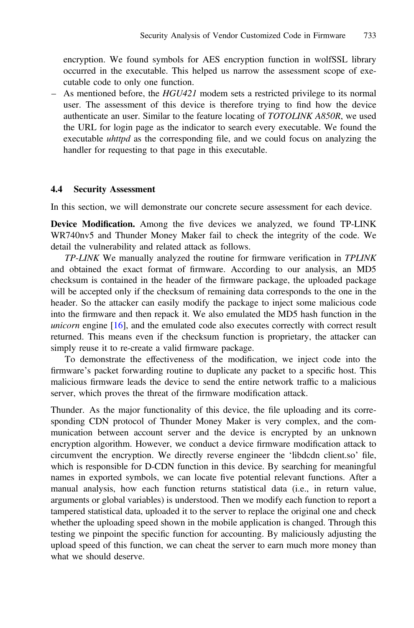encryption. We found symbols for AES encryption function in wolfSSL library occurred in the executable. This helped us narrow the assessment scope of executable code to only one function.

– As mentioned before, the HGU421 modem sets a restricted privilege to its normal user. The assessment of this device is therefore trying to find how the device authenticate an user. Similar to the feature locating of TOTOLINK A850R, we used the URL for login page as the indicator to search every executable. We found the executable uhttpd as the corresponding file, and we could focus on analyzing the handler for requesting to that page in this executable.

#### 4.4 Security Assessment

In this section, we will demonstrate our concrete secure assessment for each device.

Device Modification. Among the five devices we analyzed, we found TP-LINK WR740nv5 and Thunder Money Maker fail to check the integrity of the code. We detail the vulnerability and related attack as follows.

TP-LINK We manually analyzed the routine for firmware verification in TPLINK and obtained the exact format of firmware. According to our analysis, an MD5 checksum is contained in the header of the firmware package, the uploaded package will be accepted only if the checksum of remaining data corresponds to the one in the header. So the attacker can easily modify the package to inject some malicious code into the firmware and then repack it. We also emulated the MD5 hash function in the unicorn engine  $[16]$  $[16]$ , and the emulated code also executes correctly with correct result returned. This means even if the checksum function is proprietary, the attacker can simply reuse it to re-create a valid firmware package.

To demonstrate the effectiveness of the modification, we inject code into the firmware's packet forwarding routine to duplicate any packet to a specific host. This malicious firmware leads the device to send the entire network traffic to a malicious server, which proves the threat of the firmware modification attack.

Thunder. As the major functionality of this device, the file uploading and its corresponding CDN protocol of Thunder Money Maker is very complex, and the communication between account server and the device is encrypted by an unknown encryption algorithm. However, we conduct a device firmware modification attack to circumvent the encryption. We directly reverse engineer the 'libdcdn client.so' file, which is responsible for D-CDN function in this device. By searching for meaningful names in exported symbols, we can locate five potential relevant functions. After a manual analysis, how each function returns statistical data (i.e., in return value, arguments or global variables) is understood. Then we modify each function to report a tampered statistical data, uploaded it to the server to replace the original one and check whether the uploading speed shown in the mobile application is changed. Through this testing we pinpoint the specific function for accounting. By maliciously adjusting the upload speed of this function, we can cheat the server to earn much more money than what we should deserve.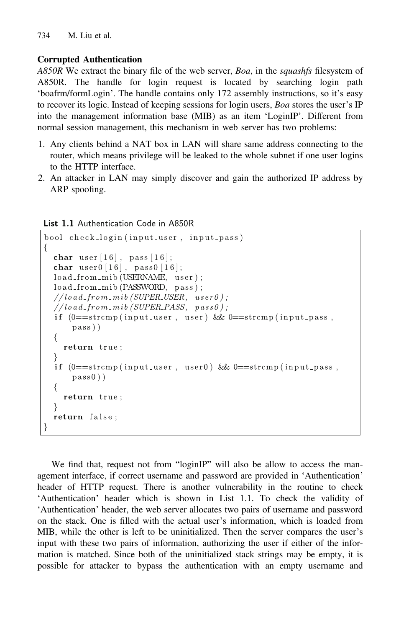### Corrupted Authentication

A850R We extract the binary file of the web server, Boa, in the squashfs filesystem of A850R. The handle for login request is located by searching login path 'boafrm/formLogin'. The handle contains only 172 assembly instructions, so it's easy to recover its logic. Instead of keeping sessions for login users, Boa stores the user's IP into the management information base (MIB) as an item 'LoginIP'. Different from normal session management, this mechanism in web server has two problems:

- 1. Any clients behind a NAT box in LAN will share same address connecting to the router, which means privilege will be leaked to the whole subnet if one user logins to the HTTP interface.
- 2. An attacker in LAN may simply discover and gain the authorized IP address by ARP spoofing.

List 1.1 Authentication Code in A850R

```
bool check_login(input_user, input_pass)
₹
  char user [16], pass [16];
  char user0[16], pass0[16];
  load_from_mib(USERNAME, user);
  load_from_mib(PASSWORD, pass);
  //load\_from\_min(SUPER\_USER, user0);//load\_from\_mib(SUPER\_PASS, pass0);if (0 == \text{strom}(input_user, user) \& 0 == \text{strom}(input-pass,pass))
  ₹
    return true;
  if (0 == \text{strom}(input_user, user0) & 0 == \text{strom}(input-pass,pass0))
    return true;
  return false;
```
We find that, request not from "loginIP" will also be allow to access the management interface, if correct username and password are provided in 'Authentication' header of HTTP request. There is another vulnerability in the routine to check 'Authentication' header which is shown in List 1.1. To check the validity of 'Authentication' header, the web server allocates two pairs of username and password on the stack. One is filled with the actual user's information, which is loaded from MIB, while the other is left to be uninitialized. Then the server compares the user's input with these two pairs of information, authorizing the user if either of the information is matched. Since both of the uninitialized stack strings may be empty, it is possible for attacker to bypass the authentication with an empty username and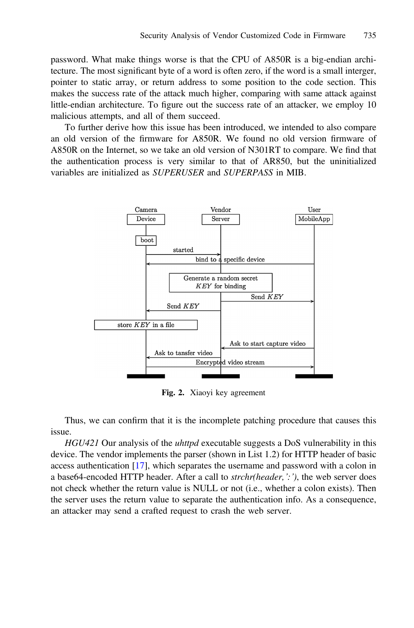<span id="page-13-0"></span>password. What make things worse is that the CPU of A850R is a big-endian architecture. The most significant byte of a word is often zero, if the word is a small interger, pointer to static array, or return address to some position to the code section. This makes the success rate of the attack much higher, comparing with same attack against little-endian architecture. To figure out the success rate of an attacker, we employ 10 malicious attempts, and all of them succeed.

To further derive how this issue has been introduced, we intended to also compare an old version of the firmware for A850R. We found no old version firmware of A850R on the Internet, so we take an old version of N301RT to compare. We find that the authentication process is very similar to that of AR850, but the uninitialized variables are initialized as SUPERUSER and SUPERPASS in MIB.



Fig. 2. Xiaoyi key agreement

Thus, we can confirm that it is the incomplete patching procedure that causes this issue.

HGU421 Our analysis of the *uhttpd* executable suggests a DoS vulnerability in this device. The vendor implements the parser (shown in List 1.2) for HTTP header of basic access authentication [[17\]](#page-17-0), which separates the username and password with a colon in a base64-encoded HTTP header. After a call to *strchr(header,':')*, the web server does not check whether the return value is NULL or not (i.e., whether a colon exists). Then the server uses the return value to separate the authentication info. As a consequence, an attacker may send a crafted request to crash the web server.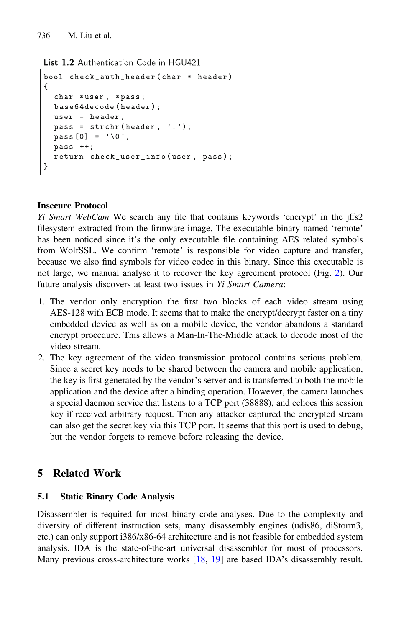```
List 1.2 Authentication Code in HGU421
```

```
bool check_auth_header(char * header)
\mathcal{L}_{\mathcal{L}}char *user, *pass;
  base64decode(header);
  user = header;pass = strchr(header, ':');
  pass [0] = ' \ 0';pass + +;return check_user_info(user, pass);
}
```
### Insecure Protocol

Yi Smart WebCam We search any file that contains keywords 'encrypt' in the jffs2 filesystem extracted from the firmware image. The executable binary named 'remote' has been noticed since it's the only executable file containing AES related symbols from WolfSSL. We confirm 'remote' is responsible for video capture and transfer, because we also find symbols for video codec in this binary. Since this executable is not large, we manual analyse it to recover the key agreement protocol (Fig. [2\)](#page-13-0). Our future analysis discovers at least two issues in Yi Smart Camera:

- 1. The vendor only encryption the first two blocks of each video stream using AES-128 with ECB mode. It seems that to make the encrypt/decrypt faster on a tiny embedded device as well as on a mobile device, the vendor abandons a standard encrypt procedure. This allows a Man-In-The-Middle attack to decode most of the video stream.
- 2. The key agreement of the video transmission protocol contains serious problem. Since a secret key needs to be shared between the camera and mobile application, the key is first generated by the vendor's server and is transferred to both the mobile application and the device after a binding operation. However, the camera launches a special daemon service that listens to a TCP port (38888), and echoes this session key if received arbitrary request. Then any attacker captured the encrypted stream can also get the secret key via this TCP port. It seems that this port is used to debug, but the vendor forgets to remove before releasing the device.

## 5 Related Work

### 5.1 Static Binary Code Analysis

Disassembler is required for most binary code analyses. Due to the complexity and diversity of different instruction sets, many disassembly engines (udis86, diStorm3, etc.) can only support i386/x86-64 architecture and is not feasible for embedded system analysis. IDA is the state-of-the-art universal disassembler for most of processors. Many previous cross-architecture works [\[18](#page-17-0), [19](#page-17-0)] are based IDA's disassembly result.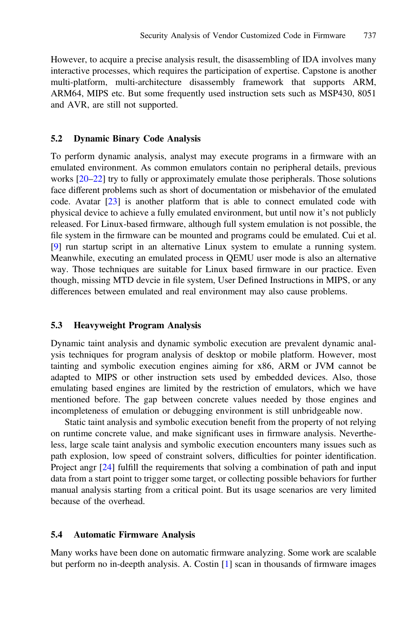However, to acquire a precise analysis result, the disassembling of IDA involves many interactive processes, which requires the participation of expertise. Capstone is another multi-platform, multi-architecture disassembly framework that supports ARM, ARM64, MIPS etc. But some frequently used instruction sets such as MSP430, 8051 and AVR, are still not supported.

#### 5.2 Dynamic Binary Code Analysis

To perform dynamic analysis, analyst may execute programs in a firmware with an emulated environment. As common emulators contain no peripheral details, previous works  $[20-22]$  $[20-22]$  $[20-22]$  $[20-22]$  try to fully or approximately emulate those peripherals. Those solutions face different problems such as short of documentation or misbehavior of the emulated code. Avatar [[23\]](#page-17-0) is another platform that is able to connect emulated code with physical device to achieve a fully emulated environment, but until now it's not publicly released. For Linux-based firmware, although full system emulation is not possible, the file system in the firmware can be mounted and programs could be emulated. Cui et al. [\[9](#page-16-0)] run startup script in an alternative Linux system to emulate a running system. Meanwhile, executing an emulated process in QEMU user mode is also an alternative way. Those techniques are suitable for Linux based firmware in our practice. Even though, missing MTD devcie in file system, User Defined Instructions in MIPS, or any differences between emulated and real environment may also cause problems.

#### 5.3 Heavyweight Program Analysis

Dynamic taint analysis and dynamic symbolic execution are prevalent dynamic analysis techniques for program analysis of desktop or mobile platform. However, most tainting and symbolic execution engines aiming for x86, ARM or JVM cannot be adapted to MIPS or other instruction sets used by embedded devices. Also, those emulating based engines are limited by the restriction of emulators, which we have mentioned before. The gap between concrete values needed by those engines and incompleteness of emulation or debugging environment is still unbridgeable now.

Static taint analysis and symbolic execution benefit from the property of not relying on runtime concrete value, and make significant uses in firmware analysis. Nevertheless, large scale taint analysis and symbolic execution encounters many issues such as path explosion, low speed of constraint solvers, difficulties for pointer identification. Project angr [[24\]](#page-17-0) fulfill the requirements that solving a combination of path and input data from a start point to trigger some target, or collecting possible behaviors for further manual analysis starting from a critical point. But its usage scenarios are very limited because of the overhead.

#### 5.4 Automatic Firmware Analysis

Many works have been done on automatic firmware analyzing. Some work are scalable but perform no in-deepth analysis. A. Costin [\[1](#page-16-0)] scan in thousands of firmware images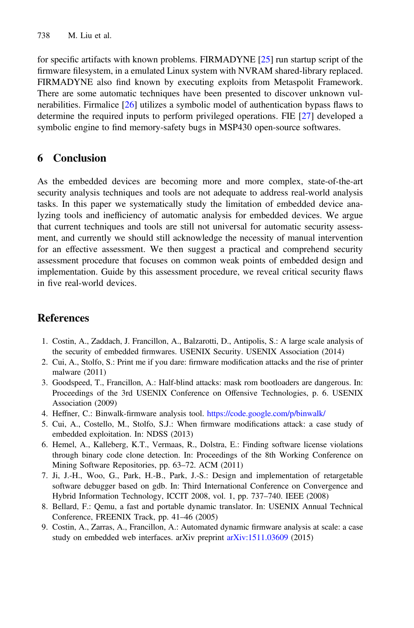<span id="page-16-0"></span>for specific artifacts with known problems. FIRMADYNE [\[25](#page-17-0)] run startup script of the firmware filesystem, in a emulated Linux system with NVRAM shared-library replaced. FIRMADYNE also find known by executing exploits from Metaspolit Framework. There are some automatic techniques have been presented to discover unknown vulnerabilities. Firmalice [[26\]](#page-17-0) utilizes a symbolic model of authentication bypass flaws to determine the required inputs to perform privileged operations. FIE [\[27](#page-17-0)] developed a symbolic engine to find memory-safety bugs in MSP430 open-source softwares.

## 6 Conclusion

As the embedded devices are becoming more and more complex, state-of-the-art security analysis techniques and tools are not adequate to address real-world analysis tasks. In this paper we systematically study the limitation of embedded device analyzing tools and inefficiency of automatic analysis for embedded devices. We argue that current techniques and tools are still not universal for automatic security assessment, and currently we should still acknowledge the necessity of manual intervention for an effective assessment. We then suggest a practical and comprehend security assessment procedure that focuses on common weak points of embedded design and implementation. Guide by this assessment procedure, we reveal critical security flaws in five real-world devices.

## References

- 1. Costin, A., Zaddach, J. Francillon, A., Balzarotti, D., Antipolis, S.: A large scale analysis of the security of embedded firmwares. USENIX Security. USENIX Association (2014)
- 2. Cui, A., Stolfo, S.: Print me if you dare: firmware modification attacks and the rise of printer malware (2011)
- 3. Goodspeed, T., Francillon, A.: Half-blind attacks: mask rom bootloaders are dangerous. In: Proceedings of the 3rd USENIX Conference on Offensive Technologies, p. 6. USENIX Association (2009)
- 4. Heffner, C.: Binwalk-firmware analysis tool. <https://code.google.com/p/binwalk/>
- 5. Cui, A., Costello, M., Stolfo, S.J.: When firmware modifications attack: a case study of embedded exploitation. In: NDSS (2013)
- 6. Hemel, A., Kalleberg, K.T., Vermaas, R., Dolstra, E.: Finding software license violations through binary code clone detection. In: Proceedings of the 8th Working Conference on Mining Software Repositories, pp. 63–72. ACM (2011)
- 7. Ji, J.-H., Woo, G., Park, H.-B., Park, J.-S.: Design and implementation of retargetable software debugger based on gdb. In: Third International Conference on Convergence and Hybrid Information Technology, ICCIT 2008, vol. 1, pp. 737–740. IEEE (2008)
- 8. Bellard, F.: Qemu, a fast and portable dynamic translator. In: USENIX Annual Technical Conference, FREENIX Track, pp. 41–46 (2005)
- 9. Costin, A., Zarras, A., Francillon, A.: Automated dynamic firmware analysis at scale: a case study on embedded web interfaces. arXiv preprint [arXiv:1511.03609](http://arxiv.org/abs/1511.03609) (2015)